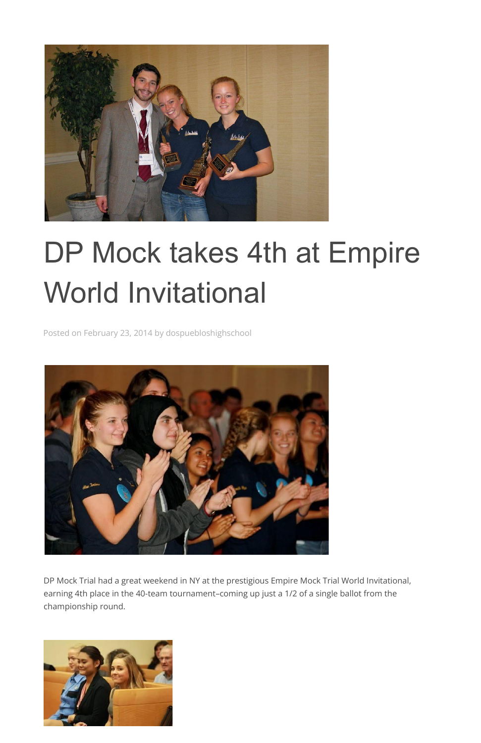

## DP Mock takes 4th at Empire World Invitational

Posted on February 23, 2014 by dospuebloshighschool



DP Mock Trial had a great weekend in NY at the prestigious Empire Mock Trial World Invitational, earning 4th place in the 40-team tournament–coming up just a 1/2 of a single ballot from the championship round.